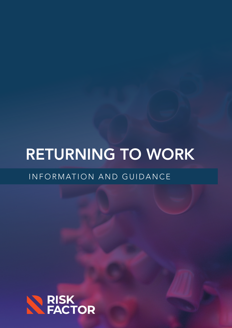# RETURNING TO WORK

INFORMATION AND GUIDANCE

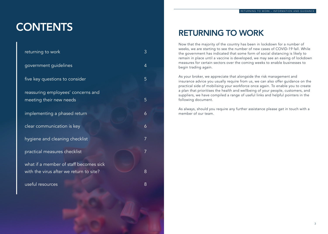Now that the majority of the country has been in lockdown for a number of weeks, we are starting to see the number of new cases of COVID-19 fall. While the government has indicated that some form of social distancing is likely to remain in place until a vaccine is developed, we may see an easing of lockdown measures for certain sectors over the coming weeks to enable businesses to begin trading again.

As your broker, we appreciate that alongside the risk management and insurance advice you usually require from us, we can also offer guidance on the practical side of mobilising your workforce once again. To enable you to create a plan that prioritises the health and wellbeing of your people, customers, and suppliers, we have compiled a range of useful links and helpful pointers in the following document.

As always, should you require any further assistance please get in touch with a member of our team.

# **CONTENTS**

| returning to work                                                                 | З |
|-----------------------------------------------------------------------------------|---|
| government guidelines                                                             | 4 |
| five key questions to consider                                                    | 5 |
| reassuring employees' concerns and<br>meeting their new needs                     | 5 |
| implementing a phased return                                                      | 6 |
| clear communication is key                                                        | 6 |
| hygiene and cleaning checklist                                                    | 7 |
| practical measures checklist                                                      | 7 |
| what if a member of staff becomes sick<br>with the virus after we return to site? | 8 |
|                                                                                   |   |
| useful resources                                                                  | 8 |

## RETURNING TO WORK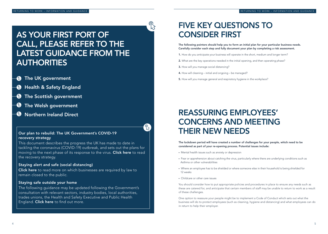RETURNING TO WORK – INFORMATION AND GUIDANCE **The State of the CONSTRANTION AND GUIDANCE** RETURNING TO WORK – INFORMATION AND GUIDANCE

### FIVE KEY QUESTIONS TO CONSIDER FIRST

The following pointers should help you to form an initial plan for your particular business needs. Carefully consider each step and fully document your plan by completing a risk assessment.

- 1. How do you anticipate your business will operate in the short, medium and longer term?
- 2. What are the key operations needed in the initial opening, and then operating phase?
- 3. How will you manage social distancing?
- 4. How will cleaning initial and ongoing be managed?
- 5. How will you manage general and respiratory hygiene in the workplace?

### REASSURING EMPLOYEES' CONCERNS AND MEETING THEIR NEW NEEDS

The lockdown period will have created a number of challenges for your people, which need to be considered as part of your re-opening process. Potential issues include:

### AS YOUR FIRST PORT OF CALL, PLEASE REFER TO THE LATEST GUIDANCE FROM THE **AUTHORITIES**

- **B** The UK government
- **B** [Health & Safety England](https://www.hse.gov.uk/news/coronavirus.htm?utm_source=hse.gov.uk&utm_medium=refferal&utm_campaign=coronavirus&utm_term=covid-landing&utm_content=home-page-popular)
- **B** [The Scottish government](https://www.gov.scot/coronavirus-covid-19/)
- **B** [The Welsh government](https://gov.wales/coronavirus)
- **W** [Northern Ireland Direct](https://www.nidirect.gov.uk/campaigns/coronavirus-covid-19)

• Fear or apprehension about catching the virus, particularly where there are underlying conditions such as

- Mental health issues such as anxiety or depression
- Asthma or other vulnerabilities
- Where an employee has to be shielded or where someone else in their household is being shielded for 12 weeks
- Childcare or other care issues

[Click here](https://www.gov.uk/government/publications/staying-alert-and-safe-social-distancing/staying-alert-and-safe-social-distancing#businesses-and-venues) to read more on which businesses are required by law to remain closed to the public.

The following guidance may be updated following the Government's consultation with relevant sectors, industry bodies, local authorities, trades unions, the Health and Safety Executive and Public Health England. [Click here](https://www.gov.uk/government/publications/staying-safe-outside-your-home/staying-safe-outside-your-home) to find out more.

You should consider how to put appropriate policies and procedures in place to ensure any needs such as these are catered for, and anticipate that certain members of staff may be unable to return to work as a result of these challenges.

One option to reassure your people might be to implement a Code of Conduct which sets out what the business will do to protect employees (such as cleaning, hygiene and distancing) and what employees can do in return to help their employer.

### Our plan to rebuild: The UK Government's COVID-19 recovery strategy

This document describes the progress the UK has made to date in tackling the coronavirus (COVID-19) outbreak, and sets out the plans for moving to the next phase of its response to the virus. [Click here](https://www.gov.uk/government/publications/our-plan-to-rebuild-the-uk-governments-covid-19-recovery-strategy) to read the recovery strategy.

#### Staying alert and safe (social distancing)

#### Staying safe outside your home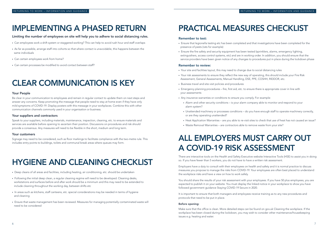Limiting the number of employees on site will help you to adhere to social distancing rules.

- Can employees work a shift system or staggered working? This can help to avoid rush hour and staff overlaps
- As far as possible, arrange staff into cohorts so that where contact is unavoidable, this happens between the same individuals
- Can certain employees work from home?
- Can certain processes be modified to avoid contact between staff?

### IMPLEMENTING A PHASED RETURN

#### Your People

Be clear in your communication to employees and remain in regular contact to update them on next steps and answer any concerns. Keep promoting the message that people need to stay at home even if they have only mild symptoms of COVID-19. Display posters with this message in your workplaces. Combine this with other communication channels commonly used in your organisation or business.

#### Your suppliers and contractors

Speak to your suppliers, including materials, maintenance, inspection, cleaning, etc. to ensure materials and services are available before opening to ascertain their position. Discussions on procedures and risk should provide a consensus. Any measures will need to be flexible in the short, medium and long term.

#### Your customers

Signage may need to be considered, such as floor markings to facilitate compliance with the two-metre rule. This includes entry points to buildings, toilets and communal break areas where queues may form.

### CLEAR COMMUNICATION IS KEY

- Deep cleans of all areas and facilities, including heating, air conditioning, etc. should be undertaken
- Following the initial deep clean, a regular cleaning regime will need to be developed. Cleaning desks, workstations and surfaces before and after work should be a minimum and this may need to be extended to include cleaning throughout the working day, between shifts etc
- In areas such as kitchens, staff canteens, etc. special considerations may be needed in terms of hygiene and cleaning
- Ensure that waste management has been reviewed. Measures for managing potentially contaminated waste will need to be considered

### HYGIENE AND CLEANING CHECKLIST

#### Remember to test:

- Ensure that legionella testing etc has been completed and that investigations have been completed for the presence of pests (rats for example)
- Ensure the fire safety and security equipment has been tested (sprinklers, alarms, emergency lighting,

extinguishers, access control systems, etc) and are in working order. In addition, you should ensure that the service providers have been given notice of any changes to procedures put in place during the lockdown phase

#### Remember to review:

• Your risk assessments to ensure they reflect the new way of operating, this should include your Fire Risk

- Your site and facilities layout, this may need to change due to social distancing rules
- Assessment, General Assessments, Manual Handling, DSE, PPE, COSHH, RIDDOR, etc.
- Business travel and site visit policies and procedures
- Emergency planning procedures fire, first aid, etc. to ensure there is appropriate cover in line with your assessments
- Any insurance warranties or conditions to ensure you comply. For example:
	- Alarm and other security conditions is your alarm company able to monitor and respond to your alarm system?
	- or are they operating unattended?
	-
	- Waste Removal Warranties are contractors able to remove waste from your site?

• Unattended machinery or processes conditions – do you have enough staff to operate machinery correctly,

• Heat Application Warranties – are you able to re-visit sites to check that use of heat has not caused an issue?

## PRACTICAL MEASURES CHECKLIST

Make sure that the office is clean. More detailed steps can be found on gov.uk [Cleaning the workplace.](https://www.gov.uk/guidance/working-safely-during-coronavirus-covid-19/offices-and-contact-centres#offices-3-5) If the workplace has been closed during the lockdown, you may wish to consider other maintenance/housekeeping issues e.g. heating and water.

### ALL EMPLOYERS MUST CARRY OUT A COVID-19 RISK ASSESSMENT

There are interactive tools on the Health and Safety Executive website [Interactive Tools \(HSE\) t](https://www.hse.gov.uk/risk/assessment.htm)o assist you in doing so. If you have fewer than 5 workers, you do not have to have a written risk assessment.

Employers have a duty to consult with their employees on health and safety and it is normal practice to discuss measures you propose to manage the risks from COVID-19. Your employees are often best placed to understand the workplace risks and have a view on how to work safely.

You should share the results of your risk assessment with your employees. If you have 50 plus employees, you are expected to publish it on your website. You must display the linked notice in your workplace to show you have followed government guidance [Staying COVID-19 Secure in 2020](https://assets.publishing.service.gov.uk/media/5eb97d30d3bf7f5d364bfbb6/staying-covid-19-secure.pdf).

It is important to ensure that both managers and employees receive training as to any new procedures and protocols that need to be put in place.

#### Before opening: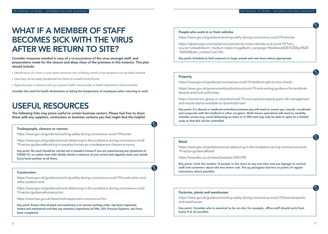Consider measures needed in case of a re-occurrence of the virus amongst staff, and preparations made for the closure and deep clean of the premises in this instance. This plan should include:

- Identification of a room or area where someone who is feeling unwell or has symptoms can be safely isolated
- How they can be safely transferred from there to a health facility/home
- Agree the plan in advance with your partner health care provider or health department where possible.

Consider the need for health declarations or taking the temperature of employees when returning to work.

### WHAT IF A MEMBER OF STAFF BECOMES SICK WITH THE VIRUS AFTER WE RETURN TO SITE?

### USEFUL RESOURCES

The following links may prove useful to certain business sectors. Please feel free to share these with any suppliers, contractors or business contacts you feel might find this helpful.

https://www.gov.uk/guidance/working-safely-during-coronavirus-covid-19/homes

https://qbeeurope.com/resilience/commercial source=LinkedIn&utm\_medium=static-image& -%20UK&utm\_content=LA174A

Key point: Schedule to limit exposure to large crow

https://www.gov.uk/guidance/social-distancing-in-the-workplace-during-coronavirus-covid-19-sector-guidance#working-in-peoples-homes-as-a-tradesperson-cleaner-or-nanny

https://www.gov.uk/government/publications/ tenants-and-local-authorities

https://www.bravo-group.co.uk/press/covid-19and-insurer-stance-available-to-download-now/

Key point: No work should be carried out in people's homes if you are experiencing any symptoms of COVID-19, no matter how mild. Notify clients in advance of your arrival and regularly wash your hands. Carry hand sanitiser at all times.

#### Tradespeople, cleaners or nannies

Key point: If a shared or landlord-controlled premi and cooperate with the landlord or other occupie consider access (e.g. social distancing on stairs or in lifts) and may only be able to open on a limited scale so that this can be controlled.

https://www.gov.uk/guidance/working-safely-during-coronavirus-covid-19/construction-andother-outdoor-work

https://www.gov.uk/guidance/social-distancing-in-the-workplace-during-coronavirus-covid-19-sector-guidance#construction

https://www.hse.gov.uk/news/work-equipment-coronavirus.htm

Key point: Ensure that all plant and machinery is in correct working order, has been inspected, tested and maintained and that any statutory inspections (of lifts, LEV, Pressure Systems, etc) have been completed.

#### Construction

#### People who work in or from vehicles

https://www.gov.uk/guidance/working-safely-c

#### Property

https://www.gov.uk/guidance/coronavirus-cov

https://www.gov.uk/guidance/social-distancing-in-the-workplace-during-coronavirus-covid-19-sector-guidance#retail https://www.bbc.co.uk/news/business-52431295 Key point: Limit the number of people in the store at any one time and use signage to remind staff and customers about the two metre rule. Put up plexiglass barriers at points of regular interaction where possible. Retail

https://www.gov.uk/guidance/working-safely-during-coronavirus-covid-19/factories-plantsand-warehouses Key point: Consider who is essential to be on site; for example, office staff should work from home if at all possible. Factories, plants and warehouses

|  | TURNING TO WORK – INFORMATION AND GUIDANCE |  |
|--|--------------------------------------------|--|

| during-coronavirus-covid-19/vehicles                                                                       |  |
|------------------------------------------------------------------------------------------------------------|--|
| l-motor-vehicles-and-covid-19/?utm_<br>&utm_campaign=Resilience%20-%20April%20                             |  |
| vds and rush hours where appropriate.                                                                      |  |
|                                                                                                            |  |
|                                                                                                            |  |
|                                                                                                            |  |
| id-19-landlord-right-to-rent-checks                                                                        |  |
| 'covid-19-and-renting-guidance-for-landlords-                                                              |  |
| 9-unoccupied-property-pack-risk-management-<br>v/                                                          |  |
| ises you will need to ensure you consult, coordinate<br>rs. Multi-tenure operations will need to carefully |  |